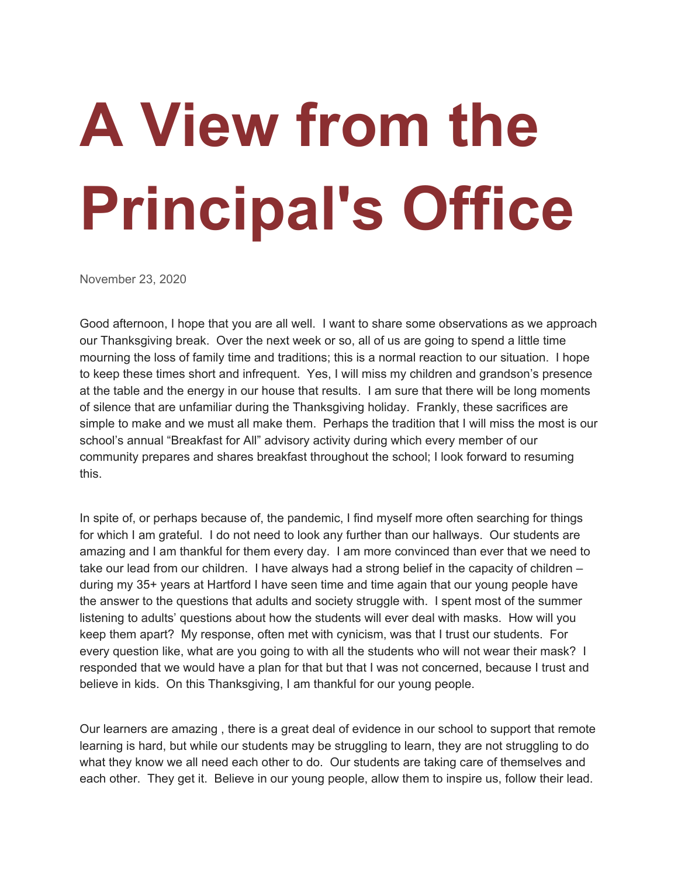## **A View from the Principal's Office**

November 23, 2020

Good afternoon, I hope that you are all well. I want to share some observations as we approach our Thanksgiving break. Over the next week or so, all of us are going to spend a little time mourning the loss of family time and traditions; this is a normal reaction to our situation. I hope to keep these times short and infrequent. Yes, I will miss my children and grandson's presence at the table and the energy in our house that results. I am sure that there will be long moments of silence that are unfamiliar during the Thanksgiving holiday. Frankly, these sacrifices are simple to make and we must all make them. Perhaps the tradition that I will miss the most is our school's annual "Breakfast for All" advisory activity during which every member of our community prepares and shares breakfast throughout the school; I look forward to resuming this.

In spite of, or perhaps because of, the pandemic, I find myself more often searching for things for which I am grateful. I do not need to look any further than our hallways. Our students are amazing and I am thankful for them every day. I am more convinced than ever that we need to take our lead from our children. I have always had a strong belief in the capacity of children – during my 35+ years at Hartford I have seen time and time again that our young people have the answer to the questions that adults and society struggle with. I spent most of the summer listening to adults' questions about how the students will ever deal with masks. How will you keep them apart? My response, often met with cynicism, was that I trust our students. For every question like, what are you going to with all the students who will not wear their mask? I responded that we would have a plan for that but that I was not concerned, because I trust and believe in kids. On this Thanksgiving, I am thankful for our young people.

Our learners are amazing , there is a great deal of evidence in our school to support that remote learning is hard, but while our students may be struggling to learn, they are not struggling to do what they know we all need each other to do. Our students are taking care of themselves and each other. They get it. Believe in our young people, allow them to inspire us, follow their lead.